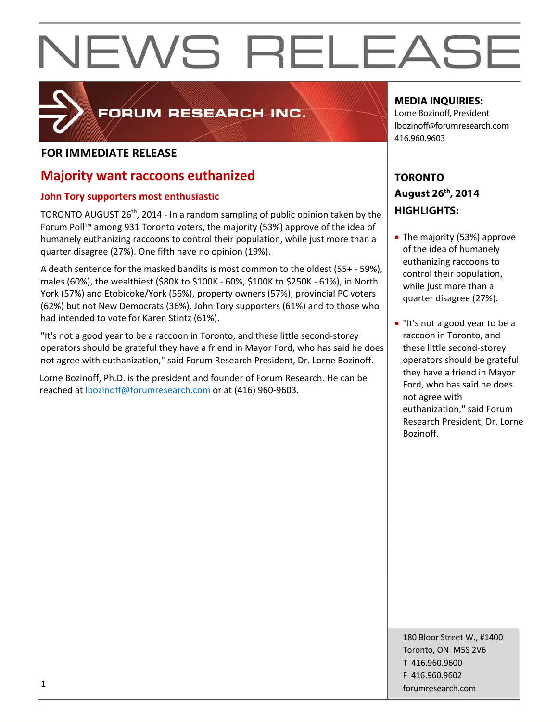# NEWS RELEASE

### FORUM RESEARCH INC.

#### **FOR IMMEDIATE RELEASE**

#### **Majority want raccoons euthanized**

#### **John Tory supporters most enthusiastic**

TORONTO AUGUST  $26<sup>th</sup>$ , 2014 - In a random sampling of public opinion taken by the Forum Poll™ among 931 Toronto voters, the majority (53%) approve of the idea of humanely euthanizing raccoons to control their population, while just more than a quarter disagree (27%). One fifth have no opinion (19%).

A death sentence for the masked bandits is most common to the oldest (55+ ‐ 59%), males (60%), the wealthiest (\$80K to \$100K ‐ 60%, \$100K to \$250K ‐ 61%), in North York (57%) and Etobicoke/York (56%), property owners (57%), provincial PC voters (62%) but not New Democrats (36%), John Tory supporters (61%) and to those who had intended to vote for Karen Stintz (61%).

"It's not a good year to be a raccoon in Toronto, and these little second‐storey operators should be grateful they have a friend in Mayor Ford, who has said he does not agree with euthanization," said Forum Research President, Dr. Lorne Bozinoff.

Lorne Bozinoff, Ph.D. is the president and founder of Forum Research. He can be reached at **bozinoff@forumresearch.com** or at (416) 960-9603.

#### **MEDIA INQUIRIES:**

Lorne Bozinoff, President lbozinoff@forumresearch.com 416.960.9603

#### **TORONTO August 26th, 2014 HIGHLIGHTS:**

- The majority (53%) approve of the idea of humanely euthanizing raccoons to control their population, while just more than a quarter disagree (27%).
- "It's not a good year to be a raccoon in Toronto, and these little second‐storey operators should be grateful they have a friend in Mayor Ford, who has said he does not agree with euthanization," said Forum Research President, Dr. Lorne Bozinoff.

180 Bloor Street W., #1400 Toronto, ON M5S 2V6 T 416.960.9600 F 416.960.9602 forumresearch.com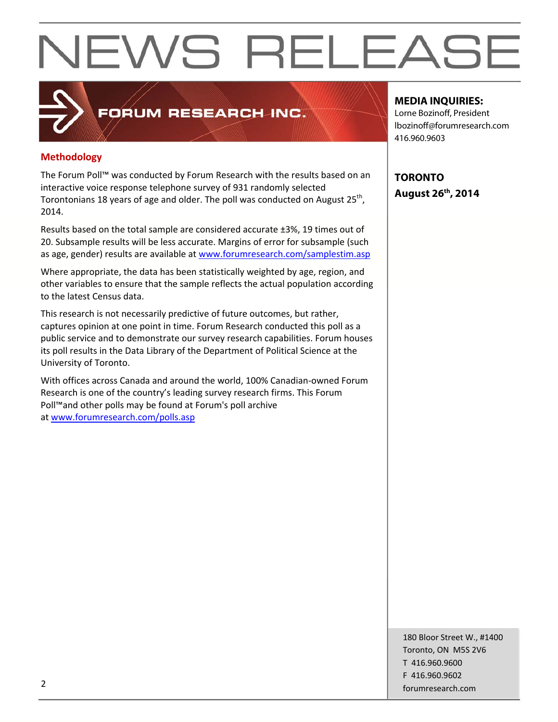# NEWS RELEASE

### FORUM RESEARCH INC.

#### **Methodology**

The Forum Poll™ was conducted by Forum Research with the results based on an interactive voice response telephone survey of 931 randomly selected Torontonians 18 years of age and older. The poll was conducted on August 25<sup>th</sup>, 2014.

Results based on the total sample are considered accurate ±3%, 19 times out of 20. Subsample results will be less accurate. Margins of error for subsample (such as age, gender) results are available at www.forumresearch.com/samplestim.asp

Where appropriate, the data has been statistically weighted by age, region, and other variables to ensure that the sample reflects the actual population according to the latest Census data.

This research is not necessarily predictive of future outcomes, but rather, captures opinion at one point in time. Forum Research conducted this poll as a public service and to demonstrate our survey research capabilities. Forum houses its poll results in the Data Library of the Department of Political Science at the University of Toronto.

With offices across Canada and around the world, 100% Canadian‐owned Forum Research is one of the country's leading survey research firms. This Forum Poll™and other polls may be found at Forum's poll archive at www.forumresearch.com/polls.asp

#### **MEDIA INQUIRIES:**

Lorne Bozinoff, President lbozinoff@forumresearch.com 416.960.9603

**TORONTO August 26th, 2014** 

180 Bloor Street W., #1400 Toronto, ON M5S 2V6 T 416.960.9600 F 416.960.9602 example to the contract of the contract of the contract of the contract of the contract of the contract of the contract of the contract of the contract of the contract of the contract of the contract of the contract of the